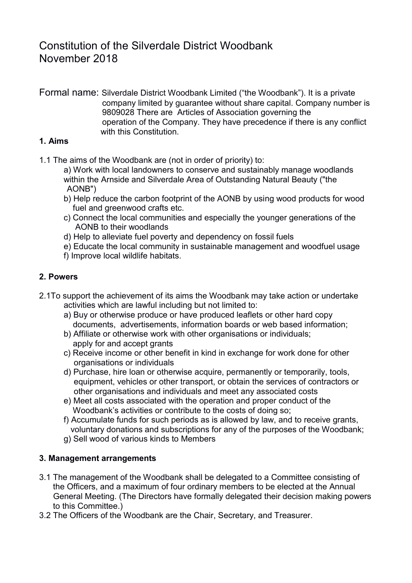# Constitution of the Silverdale District Woodbank November 2018

Formal name: Silverdale District Woodbank Limited ("the Woodbank"). It is a private company limited by guarantee without share capital. Company number is 9809028 There are Articles of Association governing the operation of the Company. They have precedence if there is any conflict with this Constitution.

#### **1. Aims**

- 1.1 The aims of the Woodbank are (not in order of priority) to:
	- a) Work with local landowners to conserve and sustainably manage woodlands within the Arnside and Silverdale Area of Outstanding Natural Beauty ("the AONB")
	- b) Help reduce the carbon footprint of the AONB by using wood products for wood fuel and greenwood crafts etc.
	- c) Connect the local communities and especially the younger generations of the AONB to their woodlands
	- d) Help to alleviate fuel poverty and dependency on fossil fuels
	- e) Educate the local community in sustainable management and woodfuel usage
	- f) Improve local wildlife habitats.

#### **2. Powers**

- 2.1To support the achievement of its aims the Woodbank may take action or undertake activities which are lawful including but not limited to:
	- a) Buy or otherwise produce or have produced leaflets or other hard copy documents, advertisements, information boards or web based information;
	- b) Affiliate or otherwise work with other organisations or individuals; apply for and accept grants
	- c) Receive income or other benefit in kind in exchange for work done for other organisations or individuals
	- d) Purchase, hire loan or otherwise acquire, permanently or temporarily, tools, equipment, vehicles or other transport, or obtain the services of contractors or other organisations and individuals and meet any associated costs
	- e) Meet all costs associated with the operation and proper conduct of the Woodbank's activities or contribute to the costs of doing so;
	- f) Accumulate funds for such periods as is allowed by law, and to receive grants, voluntary donations and subscriptions for any of the purposes of the Woodbank;
	- g) Sell wood of various kinds to Members

#### **3. Management arrangements**

- 3.1 The management of the Woodbank shall be delegated to a Committee consisting of the Officers, and a maximum of four ordinary members to be elected at the Annual General Meeting. (The Directors have formally delegated their decision making powers to this Committee.)
- 3.2 The Officers of the Woodbank are the Chair, Secretary, and Treasurer.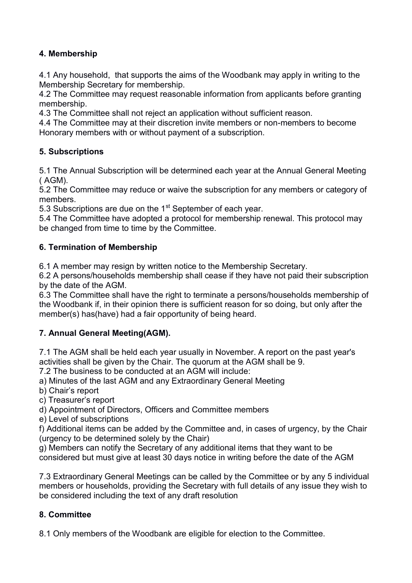#### **4. Membership**

4.1 Any household, that supports the aims of the Woodbank may apply in writing to the Membership Secretary for membership.

4.2 The Committee may request reasonable information from applicants before granting membership.

4.3 The Committee shall not reject an application without sufficient reason.

4.4 The Committee may at their discretion invite members or non-members to become Honorary members with or without payment of a subscription.

## **5. Subscriptions**

5.1 The Annual Subscription will be determined each year at the Annual General Meeting ( AGM).

5.2 The Committee may reduce or waive the subscription for any members or category of members.

5.3 Subscriptions are due on the  $1<sup>st</sup>$  September of each year.

5.4 The Committee have adopted a protocol for membership renewal. This protocol may be changed from time to time by the Committee.

## **6. Termination of Membership**

6.1 A member may resign by written notice to the Membership Secretary.

6.2 A persons/households membership shall cease if they have not paid their subscription by the date of the AGM.

6.3 The Committee shall have the right to terminate a persons/households membership of the Woodbank if, in their opinion there is sufficient reason for so doing, but only after the member(s) has(have) had a fair opportunity of being heard.

# **7. Annual General Meeting(AGM).**

7.1 The AGM shall be held each year usually in November. A report on the past year's activities shall be given by the Chair. The quorum at the AGM shall be 9.

7.2 The business to be conducted at an AGM will include:

a) Minutes of the last AGM and any Extraordinary General Meeting

b) Chair's report

c) Treasurer's report

d) Appointment of Directors, Officers and Committee members

e) Level of subscriptions

f) Additional items can be added by the Committee and, in cases of urgency, by the Chair (urgency to be determined solely by the Chair)

g) Members can notify the Secretary of any additional items that they want to be considered but must give at least 30 days notice in writing before the date of the AGM

7.3 Extraordinary General Meetings can be called by the Committee or by any 5 individual members or households, providing the Secretary with full details of any issue they wish to be considered including the text of any draft resolution

# **8. Committee**

8.1 Only members of the Woodbank are eligible for election to the Committee.